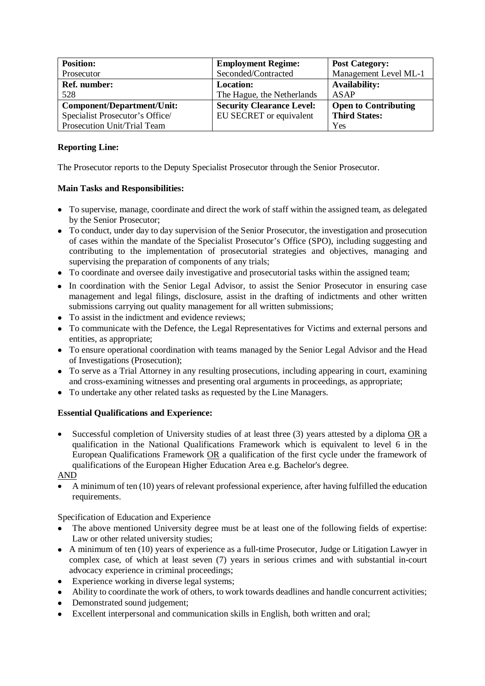| <b>Position:</b>                | <b>Employment Regime:</b>        | <b>Post Category:</b>       |
|---------------------------------|----------------------------------|-----------------------------|
| Prosecutor                      | Seconded/Contracted              | Management Level ML-1       |
| <b>Ref. number:</b>             | <b>Location:</b>                 | <b>Availability:</b>        |
| 528                             | The Hague, the Netherlands       | <b>ASAP</b>                 |
| Component/Department/Unit:      | <b>Security Clearance Level:</b> | <b>Open to Contributing</b> |
| Specialist Prosecutor's Office/ | EU SECRET or equivalent          | <b>Third States:</b>        |
| Prosecution Unit/Trial Team     |                                  | Yes                         |

# **Reporting Line:**

The Prosecutor reports to the Deputy Specialist Prosecutor through the Senior Prosecutor.

## **Main Tasks and Responsibilities:**

- To supervise, manage, coordinate and direct the work of staff within the assigned team, as delegated by the Senior Prosecutor;
- To conduct, under day to day supervision of the Senior Prosecutor, the investigation and prosecution of cases within the mandate of the Specialist Prosecutor's Office (SPO), including suggesting and contributing to the implementation of prosecutorial strategies and objectives, managing and supervising the preparation of components of any trials;
- To coordinate and oversee daily investigative and prosecutorial tasks within the assigned team;
- In coordination with the Senior Legal Advisor, to assist the Senior Prosecutor in ensuring case management and legal filings, disclosure, assist in the drafting of indictments and other written submissions carrying out quality management for all written submissions;
- To assist in the indictment and evidence reviews:
- To communicate with the Defence, the Legal Representatives for Victims and external persons and entities, as appropriate;
- To ensure operational coordination with teams managed by the Senior Legal Advisor and the Head of Investigations (Prosecution);
- To serve as a Trial Attorney in any resulting prosecutions, including appearing in court, examining and cross-examining witnesses and presenting oral arguments in proceedings, as appropriate;
- To undertake any other related tasks as requested by the Line Managers.

## **Essential Qualifications and Experience:**

• Successful completion of University studies of at least three (3) years attested by a diploma OR a qualification in the National Qualifications Framework which is equivalent to level 6 in the European Qualifications Framework OR a qualification of the first cycle under the framework of qualifications of the European Higher Education Area e.g. Bachelor's degree.

## AND

• A minimum of ten (10) years of relevant professional experience, after having fulfilled the education requirements.

Specification of Education and Experience

- The above mentioned University degree must be at least one of the following fields of expertise: Law or other related university studies;
- A minimum of ten (10) years of experience as a full-time Prosecutor, Judge or Litigation Lawyer in complex case, of which at least seven (7) years in serious crimes and with substantial in-court advocacy experience in criminal proceedings;
- Experience working in diverse legal systems;
- Ability to coordinate the work of others, to work towards deadlines and handle concurrent activities;
- Demonstrated sound judgement;
- Excellent interpersonal and communication skills in English, both written and oral;